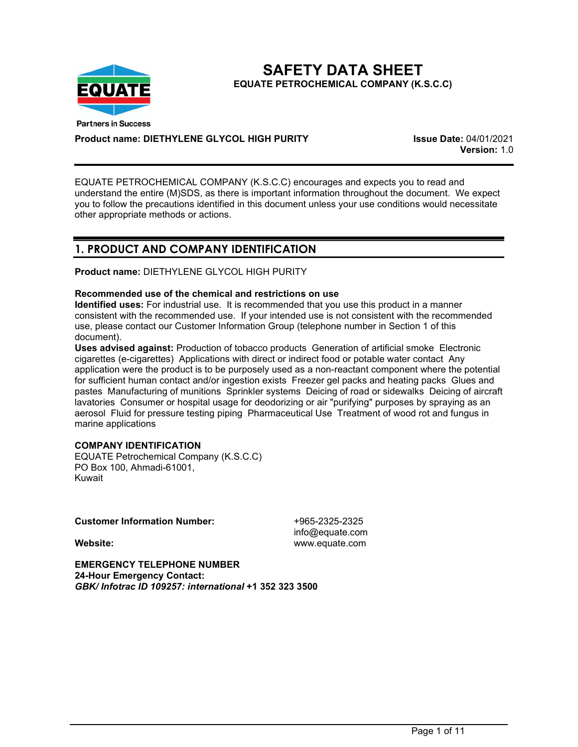

**SAFETY DATA SHEET EQUATE PETROCHEMICAL COMPANY (K.S.C.C)** 

**Product name: DIETHYLENE GLYCOL HIGH PURITY Issue Date:** 04/01/2021

**Version:** 1.0

EQUATE PETROCHEMICAL COMPANY (K.S.C.C) encourages and expects you to read and understand the entire (M)SDS, as there is important information throughout the document. We expect you to follow the precautions identified in this document unless your use conditions would necessitate other appropriate methods or actions.

# **1. PRODUCT AND COMPANY IDENTIFICATION**

**Product name:** DIETHYLENE GLYCOL HIGH PURITY

## **Recommended use of the chemical and restrictions on use**

**Identified uses:** For industrial use. It is recommended that you use this product in a manner consistent with the recommended use. If your intended use is not consistent with the recommended use, please contact our Customer Information Group (telephone number in Section 1 of this document).

**Uses advised against:** Production of tobacco products Generation of artificial smoke Electronic cigarettes (e-cigarettes) Applications with direct or indirect food or potable water contact Any application were the product is to be purposely used as a non-reactant component where the potential for sufficient human contact and/or ingestion exists Freezer gel packs and heating packs Glues and pastes Manufacturing of munitions Sprinkler systems Deicing of road or sidewalks Deicing of aircraft lavatories Consumer or hospital usage for deodorizing or air "purifying" purposes by spraying as an aerosol Fluid for pressure testing piping Pharmaceutical Use Treatment of wood rot and fungus in marine applications

## **COMPANY IDENTIFICATION**

EQUATE Petrochemical Company (K.S.C.C) PO Box 100, Ahmadi-61001, Kuwait

## **Customer Information Number:** +965-2325-2325

info@equate.com **Website:** www.equate.com

**EMERGENCY TELEPHONE NUMBER 24-Hour Emergency Contact:** *GBK/ Infotrac ID 109257: international* **+1 352 323 3500**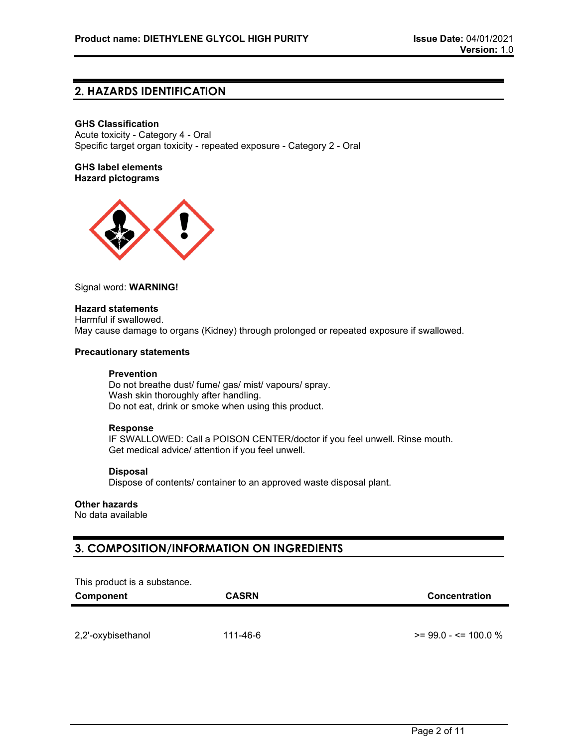## **2. HAZARDS IDENTIFICATION**

## **GHS Classification**

Acute toxicity - Category 4 - Oral Specific target organ toxicity - repeated exposure - Category 2 - Oral

**GHS label elements Hazard pictograms**



#### Signal word: **WARNING!**

## **Hazard statements**

Harmful if swallowed. May cause damage to organs (Kidney) through prolonged or repeated exposure if swallowed.

## **Precautionary statements**

### **Prevention**

Do not breathe dust/ fume/ gas/ mist/ vapours/ spray. Wash skin thoroughly after handling. Do not eat, drink or smoke when using this product.

#### **Response**

IF SWALLOWED: Call a POISON CENTER/doctor if you feel unwell. Rinse mouth. Get medical advice/ attention if you feel unwell.

## **Disposal**

Dispose of contents/ container to an approved waste disposal plant.

## **Other hazards**

No data available

# **3. COMPOSITION/INFORMATION ON INGREDIENTS**

This product is a substance.

| Component          | <b>CASRN</b> | Concentration             |
|--------------------|--------------|---------------------------|
|                    |              |                           |
| 2,2'-oxybisethanol | 111-46-6     | $\ge$ = 99.0 - <= 100.0 % |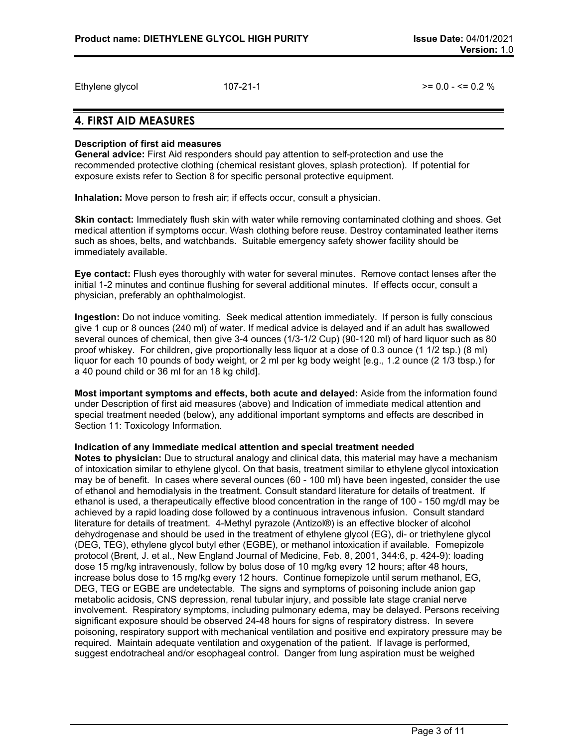Ethylene glycol  $107-21-1$   $= 0.0 - 5 = 0.2$  %

## **4. FIRST AID MEASURES**

## **Description of first aid measures**

**General advice:** First Aid responders should pay attention to self-protection and use the recommended protective clothing (chemical resistant gloves, splash protection). If potential for exposure exists refer to Section 8 for specific personal protective equipment.

**Inhalation:** Move person to fresh air; if effects occur, consult a physician.

**Skin contact:** Immediately flush skin with water while removing contaminated clothing and shoes. Get medical attention if symptoms occur. Wash clothing before reuse. Destroy contaminated leather items such as shoes, belts, and watchbands. Suitable emergency safety shower facility should be immediately available.

**Eye contact:** Flush eyes thoroughly with water for several minutes. Remove contact lenses after the initial 1-2 minutes and continue flushing for several additional minutes. If effects occur, consult a physician, preferably an ophthalmologist.

**Ingestion:** Do not induce vomiting. Seek medical attention immediately. If person is fully conscious give 1 cup or 8 ounces (240 ml) of water. If medical advice is delayed and if an adult has swallowed several ounces of chemical, then give 3-4 ounces (1/3-1/2 Cup) (90-120 ml) of hard liquor such as 80 proof whiskey. For children, give proportionally less liquor at a dose of 0.3 ounce (1 1/2 tsp.) (8 ml) liquor for each 10 pounds of body weight, or 2 ml per kg body weight [e.g., 1.2 ounce (2 1/3 tbsp.) for a 40 pound child or 36 ml for an 18 kg child].

**Most important symptoms and effects, both acute and delayed:** Aside from the information found under Description of first aid measures (above) and Indication of immediate medical attention and special treatment needed (below), any additional important symptoms and effects are described in Section 11: Toxicology Information.

#### **Indication of any immediate medical attention and special treatment needed**

**Notes to physician:** Due to structural analogy and clinical data, this material may have a mechanism of intoxication similar to ethylene glycol. On that basis, treatment similar to ethylene glycol intoxication may be of benefit. In cases where several ounces (60 - 100 ml) have been ingested, consider the use of ethanol and hemodialysis in the treatment. Consult standard literature for details of treatment. If ethanol is used, a therapeutically effective blood concentration in the range of 100 - 150 mg/dl may be achieved by a rapid loading dose followed by a continuous intravenous infusion. Consult standard literature for details of treatment. 4-Methyl pyrazole (Antizol®) is an effective blocker of alcohol dehydrogenase and should be used in the treatment of ethylene glycol (EG), di- or triethylene glycol (DEG, TEG), ethylene glycol butyl ether (EGBE), or methanol intoxication if available. Fomepizole protocol (Brent, J. et al., New England Journal of Medicine, Feb. 8, 2001, 344:6, p. 424-9): loading dose 15 mg/kg intravenously, follow by bolus dose of 10 mg/kg every 12 hours; after 48 hours, increase bolus dose to 15 mg/kg every 12 hours. Continue fomepizole until serum methanol, EG, DEG, TEG or EGBE are undetectable. The signs and symptoms of poisoning include anion gap metabolic acidosis, CNS depression, renal tubular injury, and possible late stage cranial nerve involvement. Respiratory symptoms, including pulmonary edema, may be delayed. Persons receiving significant exposure should be observed 24-48 hours for signs of respiratory distress. In severe poisoning, respiratory support with mechanical ventilation and positive end expiratory pressure may be required. Maintain adequate ventilation and oxygenation of the patient. If lavage is performed, suggest endotracheal and/or esophageal control. Danger from lung aspiration must be weighed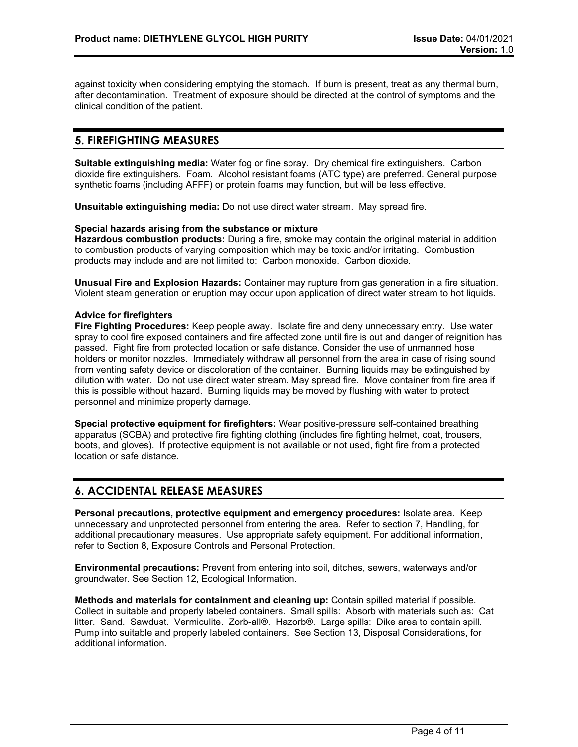against toxicity when considering emptying the stomach. If burn is present, treat as any thermal burn, after decontamination. Treatment of exposure should be directed at the control of symptoms and the clinical condition of the patient.

# **5. FIREFIGHTING MEASURES**

**Suitable extinguishing media:** Water fog or fine spray. Dry chemical fire extinguishers. Carbon dioxide fire extinguishers. Foam. Alcohol resistant foams (ATC type) are preferred. General purpose synthetic foams (including AFFF) or protein foams may function, but will be less effective.

**Unsuitable extinguishing media:** Do not use direct water stream. May spread fire.

## **Special hazards arising from the substance or mixture**

**Hazardous combustion products:** During a fire, smoke may contain the original material in addition to combustion products of varying composition which may be toxic and/or irritating. Combustion products may include and are not limited to: Carbon monoxide. Carbon dioxide.

**Unusual Fire and Explosion Hazards:** Container may rupture from gas generation in a fire situation. Violent steam generation or eruption may occur upon application of direct water stream to hot liquids.

## **Advice for firefighters**

**Fire Fighting Procedures:** Keep people away. Isolate fire and deny unnecessary entry. Use water spray to cool fire exposed containers and fire affected zone until fire is out and danger of reignition has passed. Fight fire from protected location or safe distance. Consider the use of unmanned hose holders or monitor nozzles. Immediately withdraw all personnel from the area in case of rising sound from venting safety device or discoloration of the container. Burning liquids may be extinguished by dilution with water. Do not use direct water stream. May spread fire. Move container from fire area if this is possible without hazard. Burning liquids may be moved by flushing with water to protect personnel and minimize property damage.

**Special protective equipment for firefighters:** Wear positive-pressure self-contained breathing apparatus (SCBA) and protective fire fighting clothing (includes fire fighting helmet, coat, trousers, boots, and gloves). If protective equipment is not available or not used, fight fire from a protected location or safe distance.

# **6. ACCIDENTAL RELEASE MEASURES**

**Personal precautions, protective equipment and emergency procedures:** Isolate area. Keep unnecessary and unprotected personnel from entering the area. Refer to section 7, Handling, for additional precautionary measures. Use appropriate safety equipment. For additional information, refer to Section 8, Exposure Controls and Personal Protection.

**Environmental precautions:** Prevent from entering into soil, ditches, sewers, waterways and/or groundwater. See Section 12, Ecological Information.

**Methods and materials for containment and cleaning up:** Contain spilled material if possible. Collect in suitable and properly labeled containers. Small spills: Absorb with materials such as: Cat litter. Sand. Sawdust. Vermiculite. Zorb-all®. Hazorb®. Large spills: Dike area to contain spill. Pump into suitable and properly labeled containers. See Section 13, Disposal Considerations, for additional information.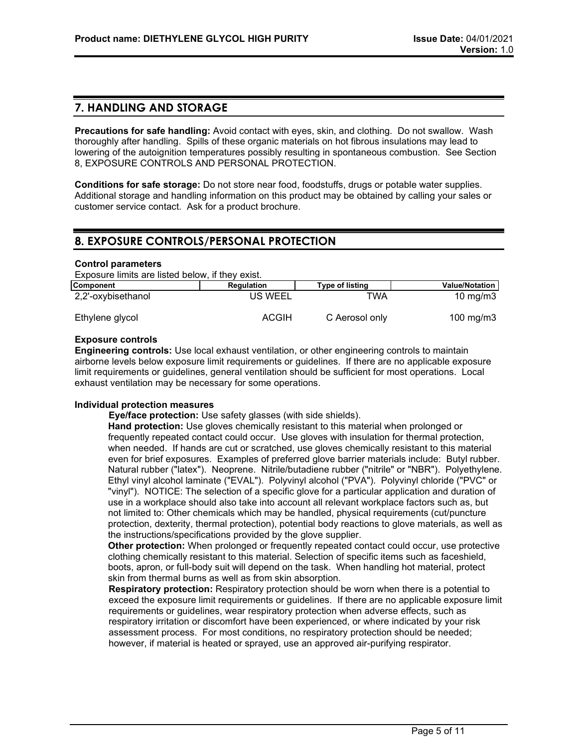## **7. HANDLING AND STORAGE**

**Precautions for safe handling:** Avoid contact with eyes, skin, and clothing. Do not swallow. Wash thoroughly after handling. Spills of these organic materials on hot fibrous insulations may lead to lowering of the autoignition temperatures possibly resulting in spontaneous combustion. See Section 8, EXPOSURE CONTROLS AND PERSONAL PROTECTION.

**Conditions for safe storage:** Do not store near food, foodstuffs, drugs or potable water supplies. Additional storage and handling information on this product may be obtained by calling your sales or customer service contact. Ask for a product brochure.

## **8. EXPOSURE CONTROLS/PERSONAL PROTECTION**

#### **Control parameters**

Exposure limits are listed below, if they exist.

| Component          | Regulation   | <b>Type of listing</b> | <b>Value/Notation</b> |
|--------------------|--------------|------------------------|-----------------------|
| 2,2'-oxybisethanol | US WEEL      | TWA                    | $10 \text{ mg/m}$     |
| Ethylene glycol    | <b>ACGIH</b> | C Aerosol only         | 100 mg/m $3$          |

## **Exposure controls**

**Engineering controls:** Use local exhaust ventilation, or other engineering controls to maintain airborne levels below exposure limit requirements or guidelines. If there are no applicable exposure limit requirements or guidelines, general ventilation should be sufficient for most operations. Local exhaust ventilation may be necessary for some operations.

## **Individual protection measures**

**Eye/face protection:** Use safety glasses (with side shields).

**Hand protection:** Use gloves chemically resistant to this material when prolonged or frequently repeated contact could occur. Use gloves with insulation for thermal protection, when needed. If hands are cut or scratched, use gloves chemically resistant to this material even for brief exposures. Examples of preferred glove barrier materials include: Butyl rubber. Natural rubber ("latex"). Neoprene. Nitrile/butadiene rubber ("nitrile" or "NBR"). Polyethylene. Ethyl vinyl alcohol laminate ("EVAL"). Polyvinyl alcohol ("PVA"). Polyvinyl chloride ("PVC" or "vinyl"). NOTICE: The selection of a specific glove for a particular application and duration of use in a workplace should also take into account all relevant workplace factors such as, but not limited to: Other chemicals which may be handled, physical requirements (cut/puncture protection, dexterity, thermal protection), potential body reactions to glove materials, as well as the instructions/specifications provided by the glove supplier.

**Other protection:** When prolonged or frequently repeated contact could occur, use protective clothing chemically resistant to this material. Selection of specific items such as faceshield, boots, apron, or full-body suit will depend on the task. When handling hot material, protect skin from thermal burns as well as from skin absorption.

**Respiratory protection:** Respiratory protection should be worn when there is a potential to exceed the exposure limit requirements or guidelines. If there are no applicable exposure limit requirements or guidelines, wear respiratory protection when adverse effects, such as respiratory irritation or discomfort have been experienced, or where indicated by your risk assessment process. For most conditions, no respiratory protection should be needed; however, if material is heated or sprayed, use an approved air-purifying respirator.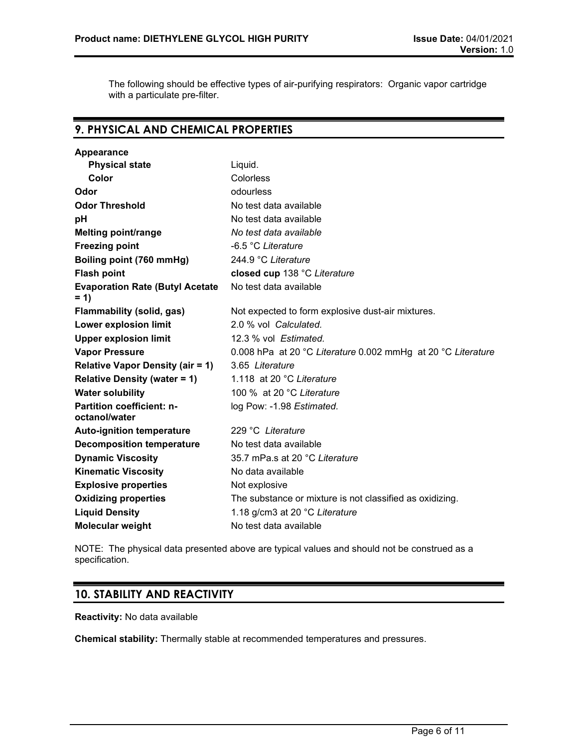The following should be effective types of air-purifying respirators: Organic vapor cartridge with a particulate pre-filter.

# **9. PHYSICAL AND CHEMICAL PROPERTIES**

| Liquid.                                                      |
|--------------------------------------------------------------|
| Colorless                                                    |
| odourless                                                    |
| No test data available                                       |
| No test data available                                       |
| No test data available                                       |
| -6.5 °C Literature                                           |
| 244.9 °C Literature                                          |
| closed cup 138 °C Literature                                 |
| No test data available                                       |
| Not expected to form explosive dust-air mixtures.            |
| 2.0 % vol Calculated.                                        |
| 12.3 % vol Estimated.                                        |
| 0.008 hPa at 20 °C Literature 0.002 mmHg at 20 °C Literature |
| 3.65 Literature                                              |
| 1.118 at 20 °C Literature                                    |
| 100 % at 20 °C Literature                                    |
| log Pow: -1.98 Estimated.                                    |
| 229 °C Literature                                            |
| No test data available                                       |
| 35.7 mPa.s at 20 °C Literature                               |
| No data available                                            |
| Not explosive                                                |
| The substance or mixture is not classified as oxidizing.     |
| 1.18 g/cm3 at 20 °C Literature                               |
| No test data available                                       |
|                                                              |

NOTE: The physical data presented above are typical values and should not be construed as a specification.

# **10. STABILITY AND REACTIVITY**

**Reactivity:** No data available

**Chemical stability:** Thermally stable at recommended temperatures and pressures.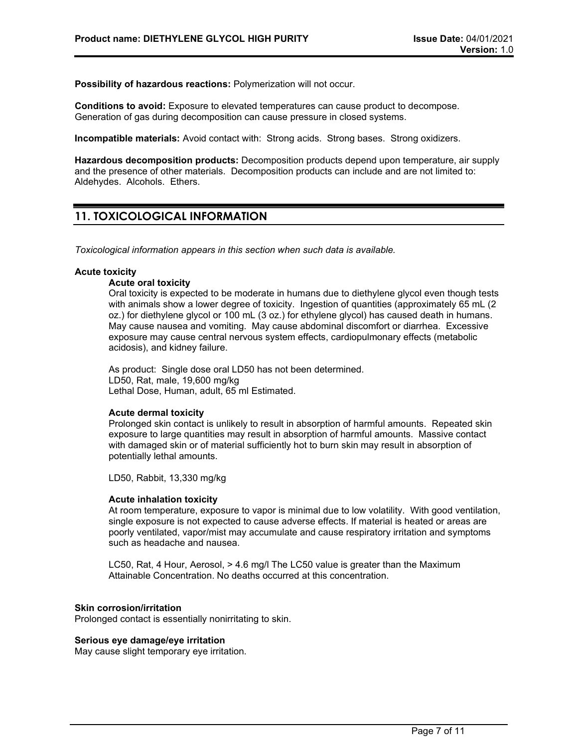**Possibility of hazardous reactions:** Polymerization will not occur.

**Conditions to avoid:** Exposure to elevated temperatures can cause product to decompose. Generation of gas during decomposition can cause pressure in closed systems.

**Incompatible materials:** Avoid contact with: Strong acids. Strong bases. Strong oxidizers.

**Hazardous decomposition products:** Decomposition products depend upon temperature, air supply and the presence of other materials. Decomposition products can include and are not limited to: Aldehydes. Alcohols. Ethers.

# **11. TOXICOLOGICAL INFORMATION**

*Toxicological information appears in this section when such data is available.*

## **Acute toxicity**

#### **Acute oral toxicity**

Oral toxicity is expected to be moderate in humans due to diethylene glycol even though tests with animals show a lower degree of toxicity. Ingestion of quantities (approximately 65 mL (2 oz.) for diethylene glycol or 100 mL (3 oz.) for ethylene glycol) has caused death in humans. May cause nausea and vomiting. May cause abdominal discomfort or diarrhea. Excessive exposure may cause central nervous system effects, cardiopulmonary effects (metabolic acidosis), and kidney failure.

As product: Single dose oral LD50 has not been determined. LD50, Rat, male, 19,600 mg/kg Lethal Dose, Human, adult, 65 ml Estimated.

#### **Acute dermal toxicity**

Prolonged skin contact is unlikely to result in absorption of harmful amounts. Repeated skin exposure to large quantities may result in absorption of harmful amounts. Massive contact with damaged skin or of material sufficiently hot to burn skin may result in absorption of potentially lethal amounts.

LD50, Rabbit, 13,330 mg/kg

#### **Acute inhalation toxicity**

At room temperature, exposure to vapor is minimal due to low volatility. With good ventilation, single exposure is not expected to cause adverse effects. If material is heated or areas are poorly ventilated, vapor/mist may accumulate and cause respiratory irritation and symptoms such as headache and nausea.

LC50, Rat, 4 Hour, Aerosol, > 4.6 mg/l The LC50 value is greater than the Maximum Attainable Concentration. No deaths occurred at this concentration.

#### **Skin corrosion/irritation**

Prolonged contact is essentially nonirritating to skin.

#### **Serious eye damage/eye irritation**

May cause slight temporary eye irritation.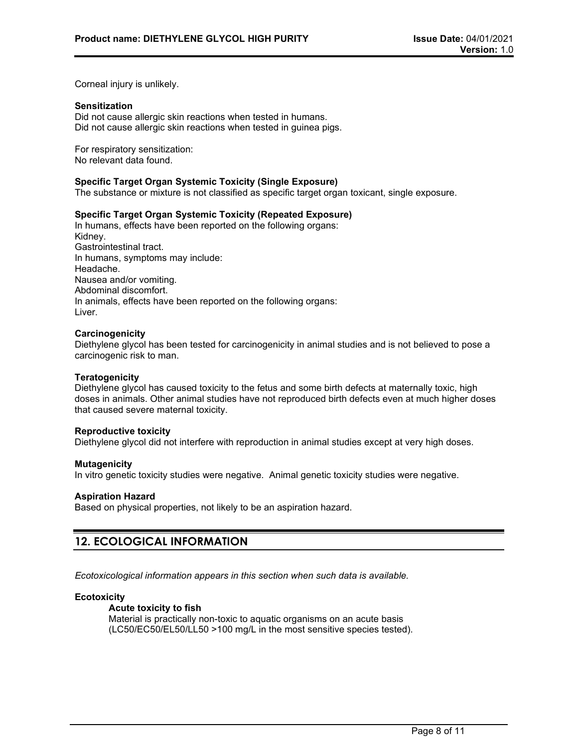Corneal injury is unlikely.

## **Sensitization**

Did not cause allergic skin reactions when tested in humans. Did not cause allergic skin reactions when tested in guinea pigs.

For respiratory sensitization: No relevant data found.

### **Specific Target Organ Systemic Toxicity (Single Exposure)**

The substance or mixture is not classified as specific target organ toxicant, single exposure.

## **Specific Target Organ Systemic Toxicity (Repeated Exposure)**

In humans, effects have been reported on the following organs: Kidney. Gastrointestinal tract. In humans, symptoms may include: Headache. Nausea and/or vomiting. Abdominal discomfort. In animals, effects have been reported on the following organs: Liver.

### **Carcinogenicity**

Diethylene glycol has been tested for carcinogenicity in animal studies and is not believed to pose a carcinogenic risk to man.

#### **Teratogenicity**

Diethylene glycol has caused toxicity to the fetus and some birth defects at maternally toxic, high doses in animals. Other animal studies have not reproduced birth defects even at much higher doses that caused severe maternal toxicity.

#### **Reproductive toxicity**

Diethylene glycol did not interfere with reproduction in animal studies except at very high doses.

#### **Mutagenicity**

In vitro genetic toxicity studies were negative. Animal genetic toxicity studies were negative.

#### **Aspiration Hazard**

Based on physical properties, not likely to be an aspiration hazard.

# **12. ECOLOGICAL INFORMATION**

*Ecotoxicological information appears in this section when such data is available.*

## **Ecotoxicity**

### **Acute toxicity to fish**

Material is practically non-toxic to aquatic organisms on an acute basis (LC50/EC50/EL50/LL50 >100 mg/L in the most sensitive species tested).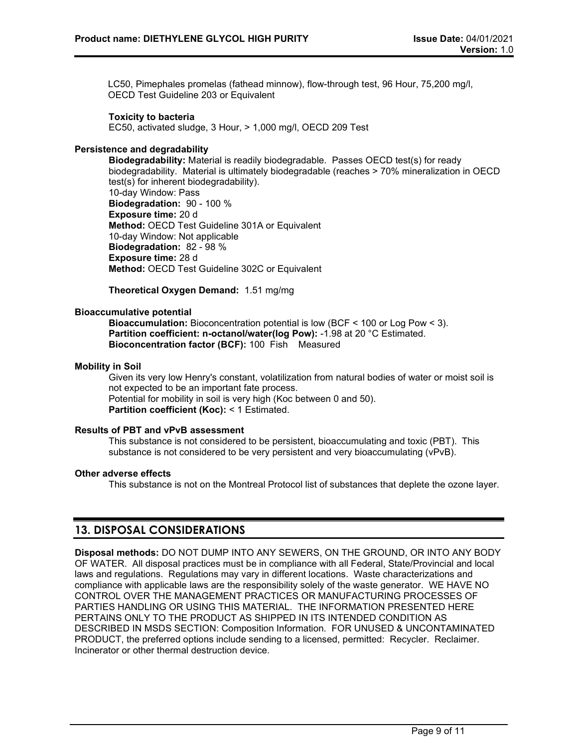LC50, Pimephales promelas (fathead minnow), flow-through test, 96 Hour, 75,200 mg/l, OECD Test Guideline 203 or Equivalent

## **Toxicity to bacteria**

EC50, activated sludge, 3 Hour, > 1,000 mg/l, OECD 209 Test

## **Persistence and degradability**

**Biodegradability:** Material is readily biodegradable. Passes OECD test(s) for ready biodegradability. Material is ultimately biodegradable (reaches > 70% mineralization in OECD test(s) for inherent biodegradability). 10-day Window: Pass **Biodegradation:** 90 - 100 % **Exposure time:** 20 d **Method:** OECD Test Guideline 301A or Equivalent 10-day Window: Not applicable **Biodegradation:** 82 - 98 % **Exposure time:** 28 d **Method:** OECD Test Guideline 302C or Equivalent

**Theoretical Oxygen Demand:** 1.51 mg/mg

## **Bioaccumulative potential**

**Bioaccumulation:** Bioconcentration potential is low (BCF < 100 or Log Pow < 3). **Partition coefficient: n-octanol/water(log Pow):** -1.98 at 20 °C Estimated. **Bioconcentration factor (BCF):** 100 Fish Measured

## **Mobility in Soil**

Given its very low Henry's constant, volatilization from natural bodies of water or moist soil is not expected to be an important fate process. Potential for mobility in soil is very high (Koc between 0 and 50). **Partition coefficient (Koc):** < 1 Estimated.

## **Results of PBT and vPvB assessment**

This substance is not considered to be persistent, bioaccumulating and toxic (PBT). This substance is not considered to be very persistent and very bioaccumulating (vPvB).

## **Other adverse effects**

This substance is not on the Montreal Protocol list of substances that deplete the ozone layer.

## **13. DISPOSAL CONSIDERATIONS**

**Disposal methods:** DO NOT DUMP INTO ANY SEWERS, ON THE GROUND, OR INTO ANY BODY OF WATER. All disposal practices must be in compliance with all Federal, State/Provincial and local laws and regulations. Regulations may vary in different locations. Waste characterizations and compliance with applicable laws are the responsibility solely of the waste generator. WE HAVE NO CONTROL OVER THE MANAGEMENT PRACTICES OR MANUFACTURING PROCESSES OF PARTIES HANDLING OR USING THIS MATERIAL. THE INFORMATION PRESENTED HERE PERTAINS ONLY TO THE PRODUCT AS SHIPPED IN ITS INTENDED CONDITION AS DESCRIBED IN MSDS SECTION: Composition Information. FOR UNUSED & UNCONTAMINATED PRODUCT, the preferred options include sending to a licensed, permitted: Recycler. Reclaimer. Incinerator or other thermal destruction device.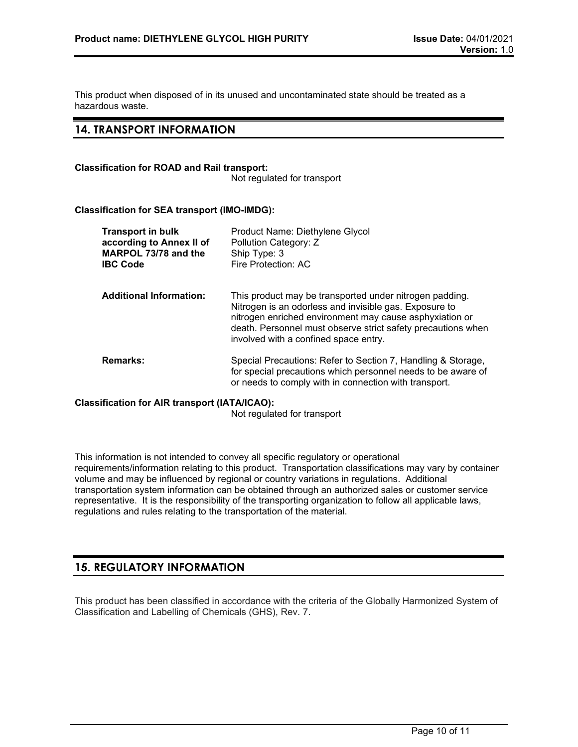This product when disposed of in its unused and uncontaminated state should be treated as a hazardous waste.

## **14. TRANSPORT INFORMATION**

## **Classification for ROAD and Rail transport:**

Not regulated for transport

## **Classification for SEA transport (IMO-IMDG):**

| <b>Transport in bulk</b><br>according to Annex II of<br>MARPOL 73/78 and the<br><b>IBC Code</b> | Product Name: Diethylene Glycol<br>Pollution Category: Z<br>Ship Type: 3<br>Fire Protection: AC                                                                                                                                                                                       |
|-------------------------------------------------------------------------------------------------|---------------------------------------------------------------------------------------------------------------------------------------------------------------------------------------------------------------------------------------------------------------------------------------|
| <b>Additional Information:</b>                                                                  | This product may be transported under nitrogen padding.<br>Nitrogen is an odorless and invisible gas. Exposure to<br>nitrogen enriched environment may cause asphyxiation or<br>death. Personnel must observe strict safety precautions when<br>involved with a confined space entry. |
| <b>Remarks:</b>                                                                                 | Special Precautions: Refer to Section 7, Handling & Storage,<br>for special precautions which personnel needs to be aware of<br>or needs to comply with in connection with transport.                                                                                                 |

## **Classification for AIR transport (IATA/ICAO):**

Not regulated for transport

This information is not intended to convey all specific regulatory or operational requirements/information relating to this product. Transportation classifications may vary by container volume and may be influenced by regional or country variations in regulations. Additional transportation system information can be obtained through an authorized sales or customer service representative. It is the responsibility of the transporting organization to follow all applicable laws, regulations and rules relating to the transportation of the material.

# **15. REGULATORY INFORMATION**

This product has been classified in accordance with the criteria of the Globally Harmonized System of Classification and Labelling of Chemicals (GHS), Rev. 7.